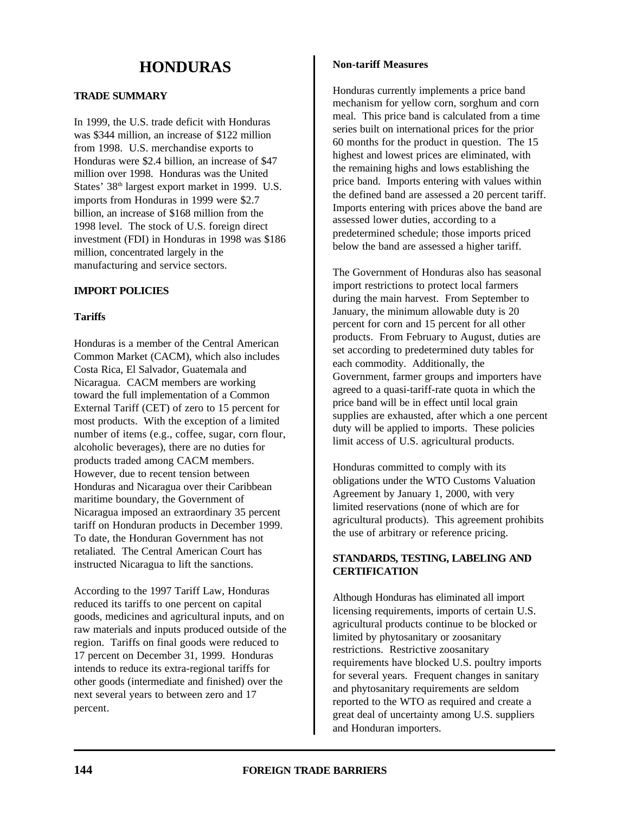# **HONDURAS**

# **TRADE SUMMARY**

In 1999, the U.S. trade deficit with Honduras was \$344 million, an increase of \$122 million from 1998. U.S. merchandise exports to Honduras were \$2.4 billion, an increase of \$47 million over 1998. Honduras was the United States' 38<sup>th</sup> largest export market in 1999. U.S. imports from Honduras in 1999 were \$2.7 billion, an increase of \$168 million from the 1998 level. The stock of U.S. foreign direct investment (FDI) in Honduras in 1998 was \$186 million, concentrated largely in the manufacturing and service sectors.

# **IMPORT POLICIES**

## **Tariffs**

Honduras is a member of the Central American Common Market (CACM), which also includes Costa Rica, El Salvador, Guatemala and Nicaragua. CACM members are working toward the full implementation of a Common External Tariff (CET) of zero to 15 percent for most products. With the exception of a limited number of items (e.g., coffee, sugar, corn flour, alcoholic beverages), there are no duties for products traded among CACM members. However, due to recent tension between Honduras and Nicaragua over their Caribbean maritime boundary, the Government of Nicaragua imposed an extraordinary 35 percent tariff on Honduran products in December 1999. To date, the Honduran Government has not retaliated. The Central American Court has instructed Nicaragua to lift the sanctions.

According to the 1997 Tariff Law, Honduras reduced its tariffs to one percent on capital goods, medicines and agricultural inputs, and on raw materials and inputs produced outside of the region. Tariffs on final goods were reduced to 17 percent on December 31, 1999. Honduras intends to reduce its extra-regional tariffs for other goods (intermediate and finished) over the next several years to between zero and 17 percent.

## **Non-tariff Measures**

Honduras currently implements a price band mechanism for yellow corn, sorghum and corn meal. This price band is calculated from a time series built on international prices for the prior 60 months for the product in question. The 15 highest and lowest prices are eliminated, with the remaining highs and lows establishing the price band. Imports entering with values within the defined band are assessed a 20 percent tariff. Imports entering with prices above the band are assessed lower duties, according to a predetermined schedule; those imports priced below the band are assessed a higher tariff.

The Government of Honduras also has seasonal import restrictions to protect local farmers during the main harvest. From September to January, the minimum allowable duty is 20 percent for corn and 15 percent for all other products. From February to August, duties are set according to predetermined duty tables for each commodity. Additionally, the Government, farmer groups and importers have agreed to a quasi-tariff-rate quota in which the price band will be in effect until local grain supplies are exhausted, after which a one percent duty will be applied to imports. These policies limit access of U.S. agricultural products.

Honduras committed to comply with its obligations under the WTO Customs Valuation Agreement by January 1, 2000, with very limited reservations (none of which are for agricultural products). This agreement prohibits the use of arbitrary or reference pricing.

# **STANDARDS, TESTING, LABELING AND CERTIFICATION**

Although Honduras has eliminated all import licensing requirements, imports of certain U.S. agricultural products continue to be blocked or limited by phytosanitary or zoosanitary restrictions. Restrictive zoosanitary requirements have blocked U.S. poultry imports for several years. Frequent changes in sanitary and phytosanitary requirements are seldom reported to the WTO as required and create a great deal of uncertainty among U.S. suppliers and Honduran importers.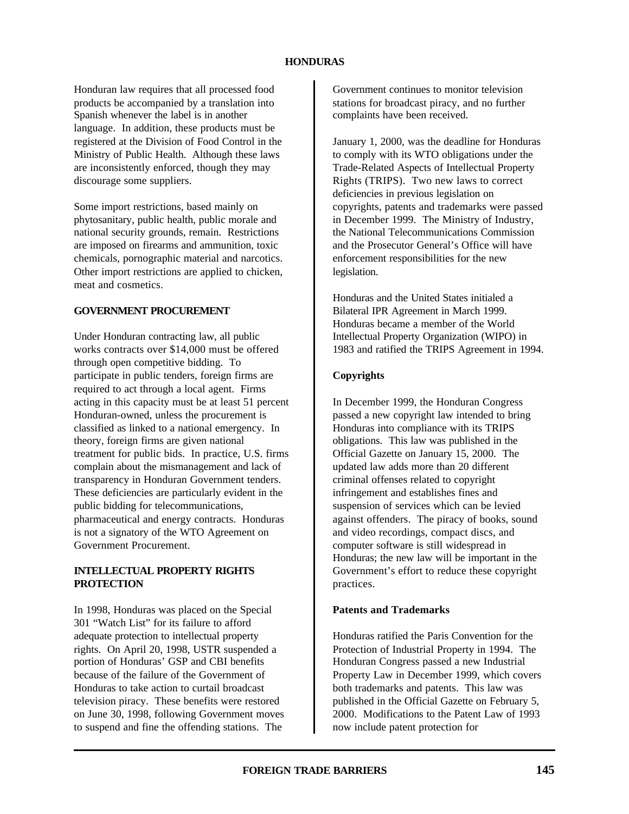#### **HONDURAS**

Honduran law requires that all processed food products be accompanied by a translation into Spanish whenever the label is in another language. In addition, these products must be registered at the Division of Food Control in the Ministry of Public Health. Although these laws are inconsistently enforced, though they may discourage some suppliers.

Some import restrictions, based mainly on phytosanitary, public health, public morale and national security grounds, remain. Restrictions are imposed on firearms and ammunition, toxic chemicals, pornographic material and narcotics. Other import restrictions are applied to chicken, meat and cosmetics.

#### **GOVERNMENT PROCUREMENT**

Under Honduran contracting law, all public works contracts over \$14,000 must be offered through open competitive bidding. To participate in public tenders, foreign firms are required to act through a local agent. Firms acting in this capacity must be at least 51 percent Honduran-owned, unless the procurement is classified as linked to a national emergency. In theory, foreign firms are given national treatment for public bids. In practice, U.S. firms complain about the mismanagement and lack of transparency in Honduran Government tenders. These deficiencies are particularly evident in the public bidding for telecommunications, pharmaceutical and energy contracts. Honduras is not a signatory of the WTO Agreement on Government Procurement.

## **INTELLECTUAL PROPERTY RIGHTS PROTECTION**

In 1998, Honduras was placed on the Special 301 "Watch List" for its failure to afford adequate protection to intellectual property rights. On April 20, 1998, USTR suspended a portion of Honduras' GSP and CBI benefits because of the failure of the Government of Honduras to take action to curtail broadcast television piracy. These benefits were restored on June 30, 1998, following Government moves to suspend and fine the offending stations. The

Government continues to monitor television stations for broadcast piracy, and no further complaints have been received.

January 1, 2000, was the deadline for Honduras to comply with its WTO obligations under the Trade-Related Aspects of Intellectual Property Rights (TRIPS). Two new laws to correct deficiencies in previous legislation on copyrights, patents and trademarks were passed in December 1999. The Ministry of Industry, the National Telecommunications Commission and the Prosecutor General's Office will have enforcement responsibilities for the new legislation.

Honduras and the United States initialed a Bilateral IPR Agreement in March 1999. Honduras became a member of the World Intellectual Property Organization (WIPO) in 1983 and ratified the TRIPS Agreement in 1994.

#### **Copyrights**

In December 1999, the Honduran Congress passed a new copyright law intended to bring Honduras into compliance with its TRIPS obligations. This law was published in the Official Gazette on January 15, 2000. The updated law adds more than 20 different criminal offenses related to copyright infringement and establishes fines and suspension of services which can be levied against offenders. The piracy of books, sound and video recordings, compact discs, and computer software is still widespread in Honduras; the new law will be important in the Government's effort to reduce these copyright practices.

#### **Patents and Trademarks**

Honduras ratified the Paris Convention for the Protection of Industrial Property in 1994. The Honduran Congress passed a new Industrial Property Law in December 1999, which covers both trademarks and patents. This law was published in the Official Gazette on February 5, 2000. Modifications to the Patent Law of 1993 now include patent protection for